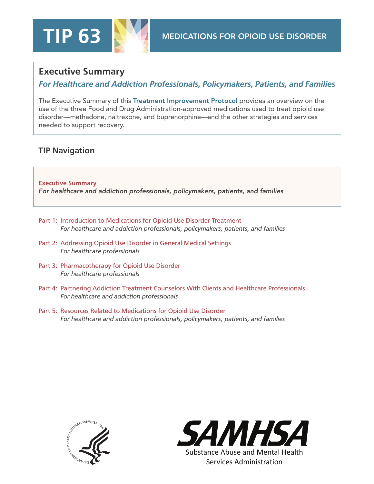

## **Executive Summary**

### *For Healthcare and Addiction Professionals, Policymakers, Patients, and Families*

The Executive Summary of this Treatment Improvement Protocol provides an overview on the use of the three Food and Drug Administration-approved medications used to treat opioid use disorder—methadone, naltrexone, and buprenorphine—and the other strategies and services needed to support recovery.

## **TIP Navigation**

**Executive Summary** *For healthcare and addiction professionals, policymakers, patients, and families*

- [Part 1: Introduction to Medications for Opioid Use Disorder Treatment](https://store.samhsa.gov/product/SMA18-5063PT1) *For healthcare and addiction professionals, policymakers, patients, and families*
- [Part 2: Addressing Opioid Use Disorder in General Medical Settings](https://store.samhsa.gov/product/SMA18-5063PT2) *For healthcare professionals*
- [Part 3: Pharmacotherapy for Opioid Use Disorder](https://store.samhsa.gov/product/SMA18-5063PT3) *For healthcare professionals*
- [Part 4: Partnering Addiction Treatment Counselors With Clients and Healthcare Professionals](https://store.samhsa.gov/product/SMA18-5063PT4) *For healthcare and addiction professionals*
- [Part 5: Resources Related to Medications for Opioid Use Disorder](https://store.samhsa.gov/product/SMA18-5063PT5) *For healthcare and addiction professionals, policymakers, patients, and families*





Services Administration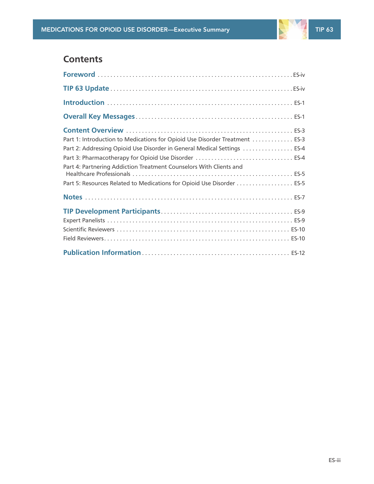

## **Contents**

| Part 1: Introduction to Medications for Opioid Use Disorder Treatment  ES-3<br>Part 2: Addressing Opioid Use Disorder in General Medical Settings  ES-4<br>Part 3: Pharmacotherapy for Opioid Use Disorder  ES-4<br>Part 4: Partnering Addiction Treatment Counselors With Clients and<br>Part 5: Resources Related to Medications for Opioid Use Disorder  ES-5 |
|------------------------------------------------------------------------------------------------------------------------------------------------------------------------------------------------------------------------------------------------------------------------------------------------------------------------------------------------------------------|
|                                                                                                                                                                                                                                                                                                                                                                  |
|                                                                                                                                                                                                                                                                                                                                                                  |
|                                                                                                                                                                                                                                                                                                                                                                  |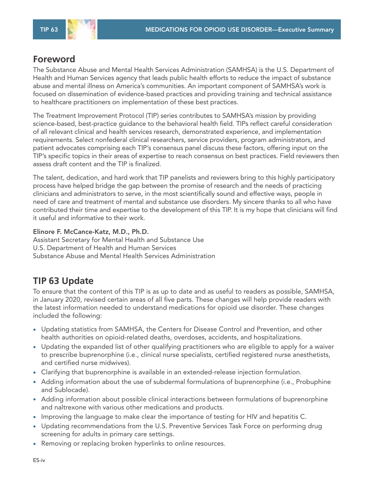<span id="page-3-0"></span>

## **Foreword**

The Substance Abuse and Mental Health Services Administration (SAMHSA) is the U.S. Department of Health and Human Services agency that leads public health efforts to reduce the impact of substance abuse and mental illness on America's communities. An important component of SAMHSA's work is focused on dissemination of evidence-based practices and providing training and technical assistance to healthcare practitioners on implementation of these best practices.

The Treatment Improvement Protocol (TIP) series contributes to SAMHSA's mission by providing science-based, best-practice guidance to the behavioral health field. TIPs reflect careful consideration of all relevant clinical and health services research, demonstrated experience, and implementation requirements. Select nonfederal clinical researchers, service providers, program administrators, and patient advocates comprising each TIP's consensus panel discuss these factors, offering input on the TIP's specific topics in their areas of expertise to reach consensus on best practices. Field reviewers then assess draft content and the TIP is finalized.

The talent, dedication, and hard work that TIP panelists and reviewers bring to this highly participatory process have helped bridge the gap between the promise of research and the needs of practicing clinicians and administrators to serve, in the most scientifically sound and effective ways, people in need of care and treatment of mental and substance use disorders. My sincere thanks to all who have contributed their time and expertise to the development of this TIP. It is my hope that clinicians will find it useful and informative to their work.

#### Elinore F. McCance-Katz, M.D., Ph.D.

Assistant Secretary for Mental Health and Substance Use U.S. Department of Health and Human Services Substance Abuse and Mental Health Services Administration

## **TIP 63 Update**

To ensure that the content of this TIP is as up to date and as useful to readers as possible, SAMHSA, in January 2020, revised certain areas of all five parts. These changes will help provide readers with the latest information needed to understand medications for opioid use disorder. These changes included the following:

- Updating statistics from SAMHSA, the Centers for Disease Control and Prevention, and other health authorities on opioid-related deaths, overdoses, accidents, and hospitalizations.
- Updating the expanded list of other qualifying practitioners who are eligible to apply for a waiver to prescribe buprenorphine (i.e., clinical nurse specialists, certified registered nurse anesthetists, and certified nurse midwives).
- Clarifying that buprenorphine is available in an extended-release injection formulation.
- Adding information about the use of subdermal formulations of buprenorphine (i.e., Probuphine and Sublocade).
- Adding information about possible clinical interactions between formulations of buprenorphine and naltrexone with various other medications and products.
- Improving the language to make clear the importance of testing for HIV and hepatitis C.
- Updating recommendations from the U.S. Preventive Services Task Force on performing drug screening for adults in primary care settings.
- Removing or replacing broken hyperlinks to online resources.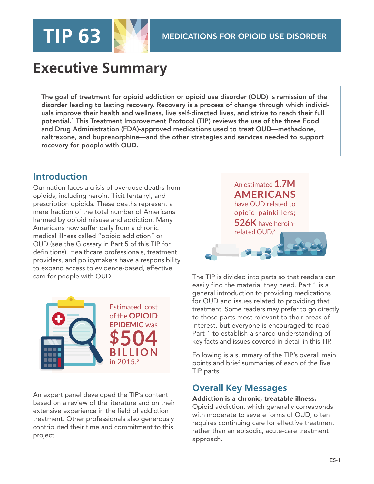<span id="page-4-0"></span>

## **Executive Summary**

The goal of treatment for opioid addiction or opioid use disorder (OUD) is remission of the disorder leading to lasting recovery. Recovery is a process of change through which individuals improve their health and wellness, live self-directed lives, and strive to reach their full potential.1 This Treatment Improvement Protocol (TIP) reviews the use of the three Food and Drug Administration (FDA)-approved medications used to treat OUD—methadone, naltrexone, and buprenorphine—and the other strategies and services needed to support recovery for people with OUD.

## **Introduction**

Our nation faces a crisis of overdose deaths from opioids, including heroin, illicit fentanyl, and prescription opioids. These deaths represent a mere fraction of the total number of Americans harmed by opioid misuse and addiction. Many Americans now suffer daily from a chronic medical illness called "opioid addiction" or OUD (see the Glossary in Part 5 of this TIP for definitions). Healthcare professionals, treatment providers, and policymakers have a responsibility to expand access to evidence-based, effective care for people with OUD.



An expert panel developed the TIP's content based on a review of the literature and on their extensive experience in the field of addiction treatment. Other professionals also generously contributed their time and commitment to this project.



The TIP is divided into parts so that readers can easily find the material they need. Part 1 is a general introduction to providing medications for OUD and issues related to providing that treatment. Some readers may prefer to go directly to those parts most relevant to their areas of interest, but everyone is encouraged to read Part 1 to establish a shared understanding of key facts and issues covered in detail in this TIP.

Following is a summary of the TIP's overall main points and brief summaries of each of the five TIP parts.

## **Overall Key Messages**

#### Addiction is a chronic, treatable illness.

Opioid addiction, which generally corresponds with moderate to severe forms of OUD, often requires continuing care for effective treatment rather than an episodic, acute-care treatment approach.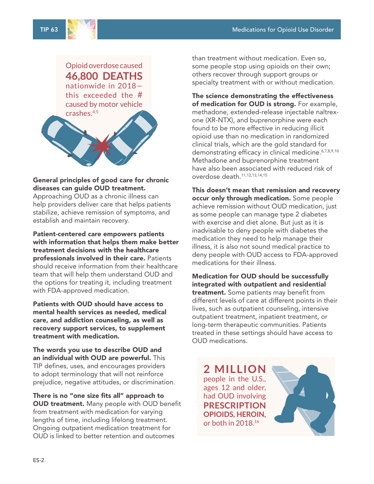

#### Opioid overdose caused **46,800 DEATHS** nationwide in 2018 this exceeded the # caused by motor vehicle crashes.4,5

#### General principles of good care for chronic diseases can guide OUD treatment.

Approaching OUD as a chronic illness can help providers deliver care that helps patients stabilize, achieve remission of symptoms, and establish and maintain recovery.

Patient-centered care empowers patients with information that helps them make better treatment decisions with the healthcare professionals involved in their care. Patients should receive information from their healthcare team that will help them understand OUD and the options for treating it, including treatment with FDA-approved medication.

Patients with OUD should have access to mental health services as needed, medical care, and addiction counseling, as well as recovery support services, to supplement treatment with medication.

The words you use to describe OUD and an individual with OUD are powerful. This TIP defines, uses, and encourages providers to adopt terminology that will not reinforce prejudice, negative attitudes, or discrimination.

There is no "one size fits all" approach to **OUD treatment.** Many people with OUD benefit from treatment with medication for varying lengths of time, including lifelong treatment. Ongoing outpatient medication treatment for OUD is linked to better retention and outcomes

than treatment without medication. Even so, some people stop using opioids on their own; others recover through support groups or specialty treatment with or without medication.

The science demonstrating the effectiveness of medication for OUD is strong. For example, methadone, extended-release injectable naltrexone (XR-NTX), and buprenorphine were each found to be more effective in reducing illicit opioid use than no medication in randomized clinical trials, which are the gold standard for demonstrating efficacy in clinical medicine.<sup>6,7,8,9,10</sup> Methadone and buprenorphine treatment have also been associated with reduced risk of overdose death.11,12,13,14,15

This doesn't mean that remission and recovery occur only through medication. Some people achieve remission without OUD medication, just as some people can manage type 2 diabetes with exercise and diet alone. But just as it is inadvisable to deny people with diabetes the medication they need to help manage their illness, it is also not sound medical practice to deny people with OUD access to FDA-approved medications for their illness.

Medication for OUD should be successfully integrated with outpatient and residential treatment. Some patients may benefit from different levels of care at different points in their lives, such as outpatient counseling, intensive outpatient treatment, inpatient treatment, or long-term therapeutic communities. Patients treated in these settings should have access to OUD medications.

**2 MILLION** people in the U.S., ages 12 and older, had OUD involving **PRESCRIPTION OPIOIDS, HEROIN,** or both in 2018.16

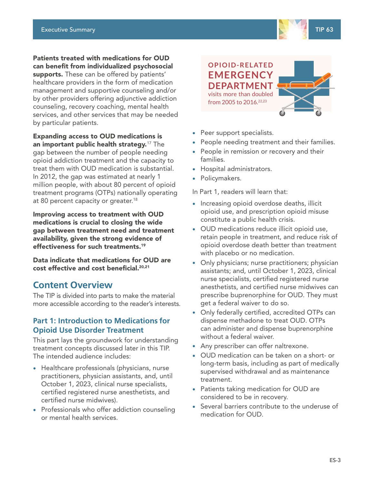<span id="page-6-0"></span>

Patients treated with medications for OUD can benefit from individualized psychosocial supports. These can be offered by patients' healthcare providers in the form of medication management and supportive counseling and/or by other providers offering adjunctive addiction counseling, recovery coaching, mental health services, and other services that may be needed by particular patients.

Expanding access to OUD medications is an important public health strategy.<sup>17</sup> The gap between the number of people needing opioid addiction treatment and the capacity to treat them with OUD medication is substantial. In 2012, the gap was estimated at nearly 1 million people, with about 80 percent of opioid treatment programs (OTPs) nationally operating at 80 percent capacity or greater.<sup>18</sup>

Improving access to treatment with OUD medications is crucial to closing the wide gap between treatment need and treatment availability, given the strong evidence of effectiveness for such treatments.19

Data indicate that medications for OUD are cost effective and cost beneficial.20,21

## **Content Overview**

The TIP is divided into parts to make the material more accessible according to the reader's interests.

#### **Part 1: Introduction to Medications for Opioid Use Disorder Treatment**

This part lays the groundwork for understanding treatment concepts discussed later in this TIP. The intended audience includes:

- Healthcare professionals (physicians, nurse practitioners, physician assistants, and, until October 1, 2023, clinical nurse specialists, certified registered nurse anesthetists, and certified nurse midwives).
- Professionals who offer addiction counseling or mental health services.

**OPIOID-RELATED EMERGENCY DEPARTMENT** visits more than doubled from 2005 to 2016.22,23

- Peer support specialists.
- People needing treatment and their families.
- People in remission or recovery and their families.
- Hospital administrators.
- Policymakers.

In Part 1, readers will learn that:

- Increasing opioid overdose deaths, illicit opioid use, and prescription opioid misuse constitute a public health crisis.
- OUD medications reduce illicit opioid use, retain people in treatment, and reduce risk of opioid overdose death better than treatment with placebo or no medication.
- Only physicians; nurse practitioners; physician assistants; and, until October 1, 2023, clinical nurse specialists, certified registered nurse anesthetists, and certified nurse midwives can prescribe buprenorphine for OUD. They must get a federal waiver to do so.
- Only federally certified, accredited OTPs can dispense methadone to treat OUD. OTPs can administer and dispense buprenorphine without a federal waiver.
- Any prescriber can offer naltrexone.
- OUD medication can be taken on a short- or long-term basis, including as part of medically supervised withdrawal and as maintenance treatment.
- Patients taking medication for OUD are considered to be in recovery.
- Several barriers contribute to the underuse of medication for OUD.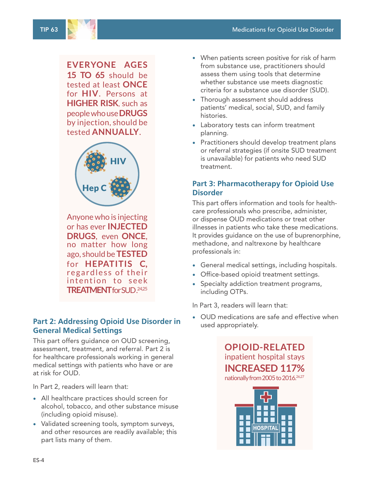<span id="page-7-0"></span>

**EVERYONE AGES 15 TO 65** should be tested at least **ONCE** for **HIV**. Persons at **HIGHER RISK**, such as people who use**DRUGS** by injection, should be tested **ANNUALLY**.



Anyone who is injecting or has ever **INJECTED DRUGS**, even **ONCE**, no matter how long ago, should be **TESTED** for **HEPATITIS C,** regardless of their intention to seek **TREATMENT** for SUD.<sup>24,25</sup>

#### **Part 2: Addressing Opioid Use Disorder in General Medical Settings**

This part offers guidance on OUD screening, assessment, treatment, and referral. Part 2 is for healthcare professionals working in general medical settings with patients who have or are at risk for OUD.

In Part 2, readers will learn that:

- All healthcare practices should screen for alcohol, tobacco, and other substance misuse (including opioid misuse).
- Validated screening tools, symptom surveys, and other resources are readily available; this part lists many of them.
- When patients screen positive for risk of harm from substance use, practitioners should assess them using tools that determine whether substance use meets diagnostic criteria for a substance use disorder (SUD).
- Thorough assessment should address patients' medical, social, SUD, and family histories.
- Laboratory tests can inform treatment planning.
- Practitioners should develop treatment plans or referral strategies (if onsite SUD treatment is unavailable) for patients who need SUD treatment.

#### **Part 3: Pharmacotherapy for Opioid Use Disorder**

This part offers information and tools for healthcare professionals who prescribe, administer, or dispense OUD medications or treat other illnesses in patients who take these medications. It provides guidance on the use of buprenorphine, methadone, and naltrexone by healthcare professionals in:

- General medical settings, including hospitals.
- Office-based opioid treatment settings.
- Specialty addiction treatment programs, including OTPs.

In Part 3, readers will learn that:

• OUD medications are safe and effective when used appropriately.

**OPIOID-RELATED**

# inpatient hospital stays **INCREASED 117%** nationally from 2005 to 2016.26,27**HOSPITAI**

#### ES-4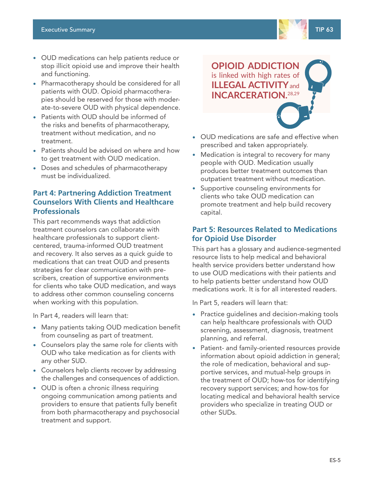<span id="page-8-0"></span>

- OUD medications can help patients reduce or stop illicit opioid use and improve their health and functioning.
- Pharmacotherapy should be considered for all patients with OUD. Opioid pharmacotherapies should be reserved for those with moderate-to-severe OUD with physical dependence.
- Patients with OUD should be informed of the risks and benefits of pharmacotherapy, treatment without medication, and no treatment.
- Patients should be advised on where and how to get treatment with OUD medication.
- Doses and schedules of pharmacotherapy must be individualized.

#### **Part 4: Partnering Addiction Treatment Counselors With Clients and Healthcare Professionals**

This part recommends ways that addiction treatment counselors can collaborate with healthcare professionals to support clientcentered, trauma-informed OUD treatment and recovery. It also serves as a quick guide to medications that can treat OUD and presents strategies for clear communication with prescribers, creation of supportive environments for clients who take OUD medication, and ways to address other common counseling concerns when working with this population.

In Part 4, readers will learn that:

- Many patients taking OUD medication benefit from counseling as part of treatment.
- Counselors play the same role for clients with OUD who take medication as for clients with any other SUD.
- Counselors help clients recover by addressing the challenges and consequences of addiction.
- OUD is often a chronic illness requiring ongoing communication among patients and providers to ensure that patients fully benefit from both pharmacotherapy and psychosocial treatment and support.

## **OPIOID ADDICTION** is linked with high rates of **ILLEGAL ACTIVITY**and **INCARCERATION.**28,29

- OUD medications are safe and effective when prescribed and taken appropriately.
- Medication is integral to recovery for many people with OUD. Medication usually produces better treatment outcomes than outpatient treatment without medication.
- Supportive counseling environments for clients who take OUD medication can promote treatment and help build recovery capital.

#### **Part 5: Resources Related to Medications for Opioid Use Disorder**

This part has a glossary and audience-segmented resource lists to help medical and behavioral health service providers better understand how to use OUD medications with their patients and to help patients better understand how OUD medications work. It is for all interested readers.

In Part 5, readers will learn that:

- Practice guidelines and decision-making tools can help healthcare professionals with OUD screening, assessment, diagnosis, treatment planning, and referral.
- Patient- and family-oriented resources provide information about opioid addiction in general; the role of medication, behavioral and supportive services, and mutual-help groups in the treatment of OUD; how-tos for identifying recovery support services; and how-tos for locating medical and behavioral health service providers who specialize in treating OUD or other SUDs.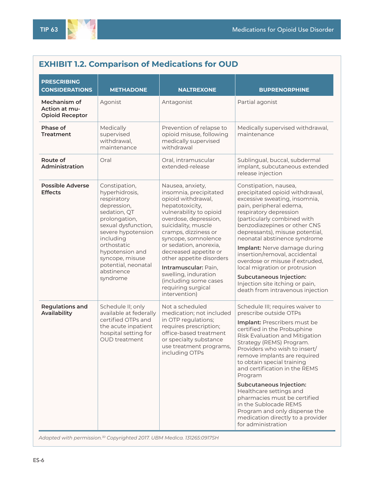

| <b>PRESCRIBING</b><br><b>CONSIDERATIONS</b>             | <b>METHADONE</b>                                                                                                                                                                                                                                               | <b>NALTREXONE</b>                                                                                                                                                                                                                                                                                                                                                                                            | <b>BUPRENORPHINE</b>                                                                                                                                                                                                                                                                                                                                                                                                                                                                                                                                 |
|---------------------------------------------------------|----------------------------------------------------------------------------------------------------------------------------------------------------------------------------------------------------------------------------------------------------------------|--------------------------------------------------------------------------------------------------------------------------------------------------------------------------------------------------------------------------------------------------------------------------------------------------------------------------------------------------------------------------------------------------------------|------------------------------------------------------------------------------------------------------------------------------------------------------------------------------------------------------------------------------------------------------------------------------------------------------------------------------------------------------------------------------------------------------------------------------------------------------------------------------------------------------------------------------------------------------|
| Mechanism of<br>Action at mu-<br><b>Opioid Receptor</b> | Agonist                                                                                                                                                                                                                                                        | Antagonist                                                                                                                                                                                                                                                                                                                                                                                                   | Partial agonist                                                                                                                                                                                                                                                                                                                                                                                                                                                                                                                                      |
| Phase of<br><b>Treatment</b>                            | Medically<br>supervised<br>withdrawal,<br>maintenance                                                                                                                                                                                                          | Prevention of relapse to<br>opioid misuse, following<br>medically supervised<br>withdrawal                                                                                                                                                                                                                                                                                                                   | Medically supervised withdrawal,<br>maintenance                                                                                                                                                                                                                                                                                                                                                                                                                                                                                                      |
| Route of<br>Administration                              | Oral                                                                                                                                                                                                                                                           | Oral, intramuscular<br>extended-release                                                                                                                                                                                                                                                                                                                                                                      | Sublingual, buccal, subdermal<br>implant, subcutaneous extended<br>release injection                                                                                                                                                                                                                                                                                                                                                                                                                                                                 |
| <b>Possible Adverse</b><br><b>Effects</b>               | Constipation,<br>hyperhidrosis,<br>respiratory<br>depression,<br>sedation, QT<br>prolongation,<br>sexual dysfunction,<br>severe hypotension<br>including<br>orthostatic<br>hypotension and<br>syncope, misuse<br>potential, neonatal<br>abstinence<br>syndrome | Nausea, anxiety,<br>insomnia, precipitated<br>opioid withdrawal,<br>hepatotoxicity,<br>vulnerability to opioid<br>overdose, depression,<br>suicidality, muscle<br>cramps, dizziness or<br>syncope, somnolence<br>or sedation, anorexia,<br>decreased appetite or<br>other appetite disorders<br>Intramuscular: Pain,<br>swelling, induration<br>(including some cases<br>requiring surgical<br>intervention) | Constipation, nausea,<br>precipitated opioid withdrawal,<br>excessive sweating, insomnia,<br>pain, peripheral edema,<br>respiratory depression<br>(particularly combined with<br>benzodiazepines or other CNS<br>depressants), misuse potential,<br>neonatal abstinence syndrome<br>Implant: Nerve damage during<br>insertion/removal, accidental<br>overdose or misuse if extruded,<br>local migration or protrusion<br><b>Subcutaneous Injection:</b><br>Injection site itching or pain,<br>death from intravenous injection                       |
| <b>Regulations and</b><br>Availability                  | Schedule II; only<br>available at federally<br>certified OTPs and<br>the acute inpatient<br>hospital setting for<br><b>OUD</b> treatment                                                                                                                       | Not a scheduled<br>medication; not included<br>in OTP regulations;<br>requires prescription;<br>office-based treatment<br>or specialty substance<br>use treatment programs,<br>including OTPs                                                                                                                                                                                                                | Schedule III; requires waiver to<br>prescribe outside OTPs<br>Implant: Prescribers must be<br>certified in the Probuphine<br>Risk Evaluation and Mitigation<br>Strategy (REMS) Program.<br>Providers who wish to insert/<br>remove implants are required<br>to obtain special training<br>and certification in the REMS<br>Program<br><b>Subcutaneous Injection:</b><br>Healthcare settings and<br>pharmacies must be certified<br>in the Sublocade REMS<br>Program and only dispense the<br>medication directly to a provider<br>for administration |

*Adapted with permission.30 Copyrighted 2017. UBM Medica. 131265:0917SH*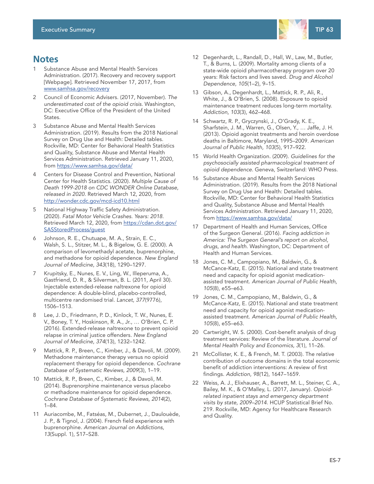<span id="page-10-0"></span>

#### **Notes**

- 1 Substance Abuse and Mental Health Services Administration. (2017). Recovery and recovery support [Webpage]. Retrieved November 17, 2017, from <www.samhsa.gov/recovery>
- 2 Council of Economic Advisers. (2017, November). *The underestimated cost of the opioid crisis.* Washington, DC: Executive Office of the President of the United States.
- 3 Substance Abuse and Mental Health Services Administration. (2019). Results from the 2018 National Survey on Drug Use and Health: Detailed tables. Rockville, MD: Center for Behavioral Health Statistics and Quality, Substance Abuse and Mental Health Services Administration. Retrieved January 11, 2020, from<https://www.samhsa.gov/data/>
- 4 Centers for Disease Control and Prevention, National Center for Health Statistics. (2020). *Multiple Cause of Death 1999-2018 on CDC WONDER Online Database, released in 2020.* Retrieved March 12, 2020, from <http://wonder.cdc.gov/mcd-icd10.html>
- 5 National Highway Traffic Safety Administration. (2020). *Fatal Motor Vehicle Crashes. Years: 2018.*  Retrieved March 12, 2020, from [https://cdan.dot.gov/](https://cdan.dot.gov/SASStoredProcess/guest) [SASStoredProcess/guest](https://cdan.dot.gov/SASStoredProcess/guest)
- 6 Johnson, R. E., Chutuape, M. A., Strain, E. C., Walsh, S. L., Stitzer, M. L., & Bigelow, G. E. (2000). A comparison of levomethadyl acetate, buprenorphine, and methadone for opioid dependence. *New England Journal of Medicine, 343*(18), 1290–1297.
- 7 Krupitsky, E., Nunes, E. V., Ling, W., Illeperuma, A., Gastfriend, D. R., & Silverman, B. L. (2011, April 30). Injectable extended-release naltrexone for opioid dependence: A double-blind, placebo-controlled, multicentre randomised trial. *Lancet, 377*(9776), 1506–1513.
- 8 Lee, J. D., Friedmann, P. D., Kinlock, T. W., Nunes, E. V., Boney, T. Y., Hoskinson, R. A., Jr., … O'Brien, C. P. (2016). Extended-release naltrexone to prevent opioid relapse in criminal justice offenders. *New England Journal of Medicine, 374*(13), 1232–1242.
- 9 Mattick, R. P., Breen, C., Kimber, J., & Davoli, M. (2009). Methadone maintenance therapy versus no opioid replacement therapy for opioid dependence. *Cochrane Database of Systematic Reviews, 2009*(3), 1–19.
- 10 Mattick, R. P., Breen, C., Kimber, J., & Davoli, M. (2014). Buprenorphine maintenance versus placebo or methadone maintenance for opioid dependence. *Cochrane Database of Systematic Reviews, 2014*(2), 1–84.
- 11 Auriacombe, M., Fatséas, M., Dubernet, J., Daulouède, J. P., & Tignol, J. (2004). French field experience with buprenorphine. *American Journal on Addictions, 13*(Suppl. 1), S17–S28.
- 12 Degenhardt, L., Randall, D., Hall, W., Law, M., Butler, T., & Burns, L. (2009). Mortality among clients of a state-wide opioid pharmacotherapy program over 20 years: Risk factors and lives saved. *Drug and Alcohol Dependence, 105*(1–2), 9–15.
- 13 Gibson, A., Degenhardt, L., Mattick, R. P., Ali, R., White, J., & O'Brien, S. (2008). Exposure to opioid maintenance treatment reduces long-term mortality. *Addiction, 103*(3), 462–468.
- 14 Schwartz, R. P., Gryczynski, J., O'Grady, K. E., Sharfstein, J. M., Warren, G., Olsen, Y., … Jaffe, J. H. (2013). Opioid agonist treatments and heroin overdose deaths in Baltimore, Maryland, 1995–2009. *American Journal of Public Health, 103*(5), 917–922.
- 15 World Health Organization. (2009). *Guidelines for the psychosocially assisted pharmacological treatment of opioid dependence.* Geneva, Switzerland: WHO Press.
- 16 Substance Abuse and Mental Health Services Administration. (2019). Results from the 2018 National Survey on Drug Use and Health: Detailed tables. Rockville, MD: Center for Behavioral Health Statistics and Quality, Substance Abuse and Mental Health Services Administration. Retrieved January 11, 2020, from<https://www.samhsa.gov/data/>
- 17 Department of Health and Human Services, Office of the Surgeon General. (2016). *Facing addiction in America: The Surgeon General's report on alcohol, drugs, and health.* Washington, DC: Department of Health and Human Services.
- 18 Jones, C. M., Campopiano, M., Baldwin, G., & McCance-Katz, E. (2015). National and state treatment need and capacity for opioid agonist medicationassisted treatment. *American Journal of Public Health, 105*(8), e55–e63.
- 19 Jones, C. M., Campopiano, M., Baldwin, G., & McCance-Katz, E. (2015). National and state treatment need and capacity for opioid agonist medicationassisted treatment. *American Journal of Public Health, 105*(8), e55–e63.
- 20 Cartwright, W. S. (2000). Cost-benefit analysis of drug treatment services: Review of the literature. *Journal of Mental Health Policy and Economics, 3*(1), 11–26.
- 21 McCollister, K. E., & French, M. T. (2003). The relative contribution of outcome domains in the total economic benefit of addiction interventions: A review of first findings. *Addiction, 98(*12), 1647–1659.
- 22 Weiss, A. J., Elixhauser, A., Barrett, M. L., Steiner, C. A., Bailey, M. K., & O'Malley, L. (2017, January). *Opioidrelated inpatient stays and emergency department visits by state, 2009–2014.* HCUP Statistical Brief No. 219. Rockville, MD: Agency for Healthcare Research and Quality.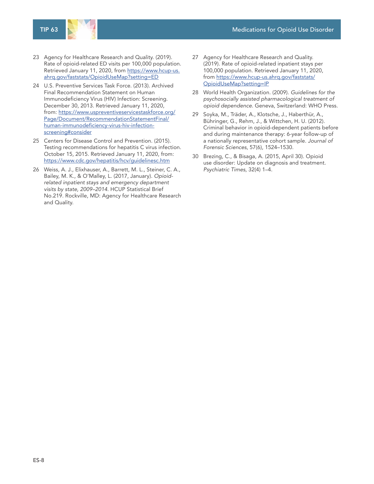

- 23 Agency for Healthcare Research and Quality. (2019). Rate of opioid-related ED visits per 100,000 population. Retrieved January 11, 2020, from [https://www.hcup-us.](https://www.hcup-us.ahrq.gov/faststats/OpioidUseMap?setting=ED) [ahrq.gov/faststats/OpioidUseMap?setting=ED](https://www.hcup-us.ahrq.gov/faststats/OpioidUseMap?setting=ED)
- 24 U.S. Preventive Services Task Force. (2013). Archived Final Recommendation Statement on Human Immunodeficiency Virus (HIV) Infection: Screening. December 30, 2013. Retrieved January 11, 2020, from: [https://www.uspreventiveservicestaskforce.org/](https://www.uspreventiveservicestaskforce.org/Page/Document/RecommendationStatementFinal/human-immunodeficiency-virus-hiv-infection-screening#consider) [Page/Document/RecommendationStatementFinal/](https://www.uspreventiveservicestaskforce.org/Page/Document/RecommendationStatementFinal/human-immunodeficiency-virus-hiv-infection-screening#consider) [human-immunodeficiency-virus-hiv-infection](https://www.uspreventiveservicestaskforce.org/Page/Document/RecommendationStatementFinal/human-immunodeficiency-virus-hiv-infection-screening#consider)[screening#consider](https://www.uspreventiveservicestaskforce.org/Page/Document/RecommendationStatementFinal/human-immunodeficiency-virus-hiv-infection-screening#consider)
- 25 Centers for Disease Control and Prevention. (2015). Testing recommendations for hepatitis C virus infection. October 15, 2015. Retrieved January 11, 2020, from: <https://www.cdc.gov/hepatitis/hcv/guidelinesc.htm>
- 26 Weiss, A. J., Elixhauser, A., Barrett, M. L., Steiner, C. A., Bailey, M. K., & O'Malley, L. (2017, January). *Opioidrelated inpatient stays and emergency department visits by state, 2009–2014*. HCUP Statistical Brief No.219. Rockville, MD: Agency for Healthcare Research and Quality.
- 27 Agency for Healthcare Research and Quality. (2019). Rate of opioid-related inpatient stays per 100,000 population. Retrieved January 11, 2020, from [https://www.hcup-us.ahrq.gov/faststats/](https://www.hcup-us.ahrq.gov/faststats/OpioidUseMap?setting=IP) [OpioidUseMap?setting=IP](https://www.hcup-us.ahrq.gov/faststats/OpioidUseMap?setting=IP)
- 28 World Health Organization. (2009). *Guidelines for the psychosocially assisted pharmacological treatment of opioid dependence*. Geneva, Switzerland: WHO Press.
- Soyka, M., Träder, A., Klotsche, J., Haberthür, A., Bühringer, G., Rehm, J., & Wittchen, H. U. (2012). Criminal behavior in opioid-dependent patients before and during maintenance therapy: 6-year follow-up of a nationally representative cohort sample. *Journal of Forensic Sciences*, 57(6), 1524–1530.
- 30 Brezing, C., & Bisaga, A. (2015, April 30). Opioid use disorder: Update on diagnosis and treatment. *Psychiatric Times*, 32(4) 1–4.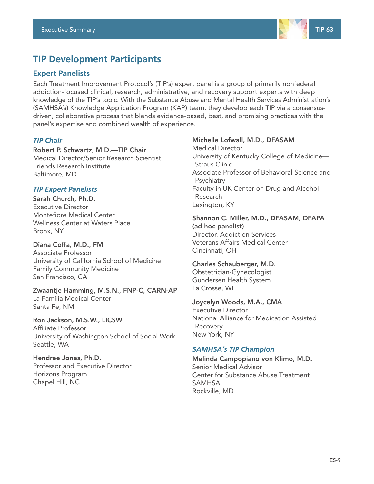<span id="page-12-0"></span>

## **TIP Development Participants**

#### **Expert Panelists**

Each Treatment Improvement Protocol's (TIP's) expert panel is a group of primarily nonfederal addiction-focused clinical, research, administrative, and recovery support experts with deep knowledge of the TIP's topic. With the Substance Abuse and Mental Health Services Administration's (SAMHSA's) Knowledge Application Program (KAP) team, they develop each TIP via a consensusdriven, collaborative process that blends evidence-based, best, and promising practices with the panel's expertise and combined wealth of experience.

#### *TIP Chair*

Robert P. Schwartz, M.D.—TIP Chair Medical Director/Senior Research Scientist Friends Research Institute Baltimore, MD

#### *TIP Expert Panelists*

Sarah Church, Ph.D. Executive Director Montefiore Medical Center Wellness Center at Waters Place Bronx, NY

#### Diana Coffa, M.D., FM

Associate Professor University of California School of Medicine Family Community Medicine San Francisco, CA

#### Zwaantje Hamming, M.S.N., FNP-C, CARN-AP La Familia Medical Center Santa Fe, NM

Ron Jackson, M.S.W., LICSW Affiliate Professor University of Washington School of Social Work Seattle, WA

#### Hendree Jones, Ph.D. Professor and Executive Director Horizons Program Chapel Hill, NC

#### Michelle Lofwall, M.D., DFASAM

Medical Director University of Kentucky College of Medicine— Straus Clinic Associate Professor of Behavioral Science and **Psychiatry** Faculty in UK Center on Drug and Alcohol Research Lexington, KY

Shannon C. Miller, M.D., DFASAM, DFAPA (ad hoc panelist) Director, Addiction Services Veterans Affairs Medical Center Cincinnati, OH

#### Charles Schauberger, M.D. Obstetrician-Gynecologist Gundersen Health System La Crosse, WI

Joycelyn Woods, M.A., CMA

Executive Director National Alliance for Medication Assisted Recovery New York, NY

#### *SAMHSA's TIP Champion*

Melinda Campopiano von Klimo, M.D. Senior Medical Advisor Center for Substance Abuse Treatment **SAMHSA** Rockville, MD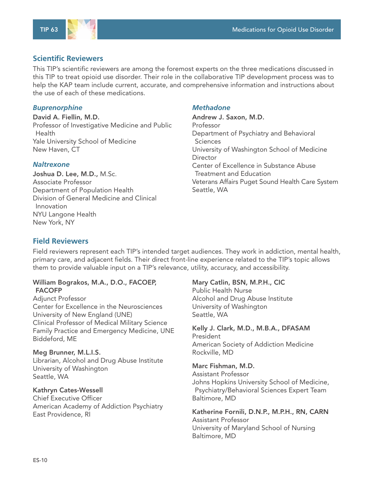<span id="page-13-0"></span>

#### **Scientific Reviewers**

This TIP's scientific reviewers are among the foremost experts on the three medications discussed in this TIP to treat opioid use disorder. Their role in the collaborative TIP development process was to help the KAP team include current, accurate, and comprehensive information and instructions about the use of each of these medications.

#### *Buprenorphine*

David A. Fiellin, M.D. Professor of Investigative Medicine and Public Health Yale University School of Medicine New Haven, CT

#### *Naltrexone*

Joshua D. Lee, M.D., [M.Sc](http://M.Sc). Associate Professor Department of Population Health Division of General Medicine and Clinical Innovation NYU Langone Health New York, NY

#### *Methadone*

Andrew J. Saxon, M.D. Professor Department of Psychiatry and Behavioral **Sciences** University of Washington School of Medicine **Director** Center of Excellence in Substance Abuse Treatment and Education Veterans Affairs Puget Sound Health Care System Seattle, WA

#### **Field Reviewers**

Field reviewers represent each TIP's intended target audiences. They work in addiction, mental health, primary care, and adjacent fields. Their direct front-line experience related to the TIP's topic allows them to provide valuable input on a TIP's relevance, utility, accuracy, and accessibility.

#### William Bograkos, M.A., D.O., FACOEP, FACOFP

Adjunct Professor Center for Excellence in the Neurosciences University of New England (UNE) Clinical Professor of Medical Military Science Family Practice and Emergency Medicine, UNE Biddeford, ME

#### Meg Brunner, M.L.I.S.

Librarian, Alcohol and Drug Abuse Institute University of Washington Seattle, WA

#### Kathryn Cates-Wessell

Chief Executive Officer American Academy of Addiction Psychiatry East Providence, RI

#### Mary Catlin, BSN, M.P.H., CIC

Public Health Nurse Alcohol and Drug Abuse Institute University of Washington Seattle, WA

Kelly J. Clark, M.D., M.B.A., DFASAM President American Society of Addiction Medicine Rockville, MD

#### Marc Fishman, M.D.

Assistant Professor Johns Hopkins University School of Medicine, Psychiatry/Behavioral Sciences Expert Team Baltimore, MD

Katherine Fornili, D.N.P., M.P.H., RN, CARN Assistant Professor University of Maryland School of Nursing Baltimore, MD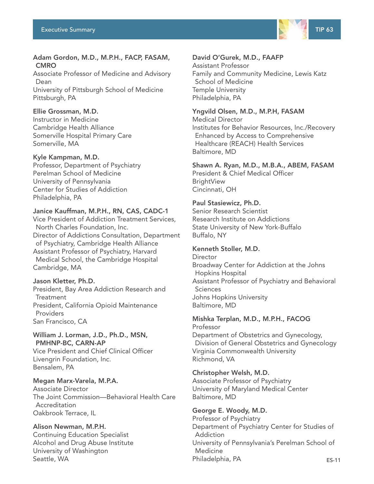

#### Adam Gordon, M.D., M.P.H., FACP, FASAM, **CMRO**

Associate Professor of Medicine and Advisory Dean University of Pittsburgh School of Medicine Pittsburgh, PA

#### Ellie Grossman, M.D.

Instructor in Medicine Cambridge Health Alliance Somerville Hospital Primary Care Somerville, MA

#### Kyle Kampman, M.D.

Professor, Department of Psychiatry Perelman School of Medicine University of Pennsylvania Center for Studies of Addiction Philadelphia, PA

#### Janice Kauffman, M.P.H., RN, CAS, CADC-1

Vice President of Addiction Treatment Services, North Charles Foundation, Inc. Director of Addictions Consultation, Department of Psychiatry, Cambridge Health Alliance Assistant Professor of Psychiatry, Harvard Medical School, the Cambridge Hospital Cambridge, MA

#### Jason Kletter, Ph.D.

President, Bay Area Addiction Research and **Treatment** President, California Opioid Maintenance Providers San Francisco, CA

#### William J. Lorman, J.D., Ph.D., MSN, PMHNP-BC, CARN-AP

Vice President and Chief Clinical Officer Livengrin Foundation, Inc. Bensalem, PA

#### Megan Marx-Varela, M.P.A.

Associate Director The Joint Commission—Behavioral Health Care Accreditation Oakbrook Terrace, IL

#### Alison Newman, M.P.H.

Continuing Education Specialist Alcohol and Drug Abuse Institute University of Washington Seattle, WA

#### David O'Gurek, M.D., FAAFP

Assistant Professor Family and Community Medicine, Lewis Katz School of Medicine Temple University Philadelphia, PA

#### Yngvild Olsen, M.D., M.P.H, FASAM Medical Director Institutes for Behavior Resources, Inc./Recovery Enhanced by Access to Comprehensive Healthcare (REACH) Health Services

Shawn A. Ryan, M.D., M.B.A., ABEM, FASAM President & Chief Medical Officer BrightView Cincinnati, OH

#### Paul Stasiewicz, Ph.D.

Baltimore, MD

Senior Research Scientist Research Institute on Addictions State University of New York-Buffalo Buffalo, NY

#### Kenneth Stoller, M.D.

**Director** Broadway Center for Addiction at the Johns Hopkins Hospital Assistant Professor of Psychiatry and Behavioral Sciences Johns Hopkins University Baltimore, MD

## Mishka Terplan, M.D., M.P.H., FACOG Professor

Department of Obstetrics and Gynecology, Division of General Obstetrics and Gynecology Virginia Commonwealth University Richmond, VA

#### Christopher Welsh, M.D.

Associate Professor of Psychiatry University of Maryland Medical Center Baltimore, MD

#### George E. Woody, M.D.

Professor of Psychiatry Department of Psychiatry Center for Studies of Addiction University of Pennsylvania's Perelman School of Medicine Philadelphia, PA